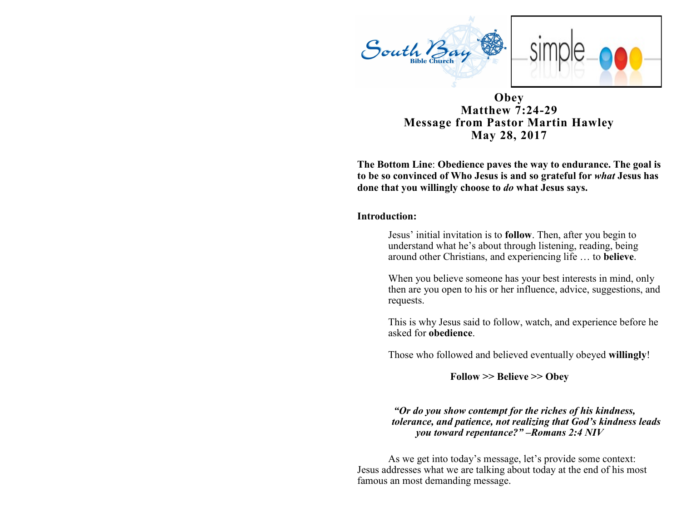

### **Obey Matthew 7:24-29 Message from Pastor Martin Hawley May 28, 2017**

**The Bottom Line**: **Obedience paves the way to endurance. The goal is to be so convinced of Who Jesus is and so grateful for** *what* **Jesus has done that you willingly choose to** *do* **what Jesus says.**

#### **Introduction:**

Jesus' initial invitation is to **follow**. Then, after you begin to understand what he's about through listening, reading, being around other Christians, and experiencing life … to **believe**.

When you believe someone has your best interests in mind, only then are you open to his or her influence, advice, suggestions, and requests.

This is why Jesus said to follow, watch, and experience before he asked for **obedience**.

Those who followed and believed eventually obeyed **willingly**!

**Follow >> Believe >> Obey**

#### *"Or do you show contempt for the riches of his kindness, tolerance, and patience, not realizing that God's kindness leads you toward repentance?" –Romans 2:4 NIV*

As we get into today's message, let's provide some context: Jesus addresses what we are talking about today at the end of his most famous an most demanding message.